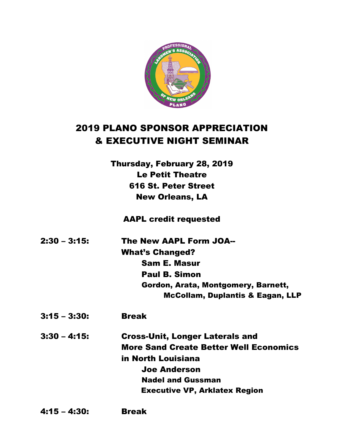

## 2019 PLANO SPONSOR APPRECIATION & EXECUTIVE NIGHT SEMINAR

Thursday, February 28, 2019 Le Petit Theatre 616 St. Peter Street New Orleans, LA

AAPL credit requested

| 2:30 – 3:15: | <b>The New AAPL Form JOA--</b>              |
|--------------|---------------------------------------------|
|              | <b>What's Changed?</b>                      |
|              | <b>Sam E. Masur</b>                         |
|              | <b>Paul B. Simon</b>                        |
|              | Gordon, Arata, Montgomery, Barnett,         |
|              | <b>McCollam, Duplantis &amp; Eagan, LLP</b> |

3:15 – 3:30: Break

3:30 – 4:15: Cross-Unit, Longer Laterals and More Sand Create Better Well Economics in North Louisiana Joe Anderson Nadel and Gussman Executive VP, Arklatex Region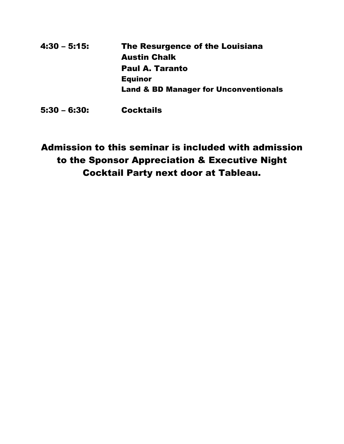| 4:30 - 5:15: | The Resurgence of the Louisiana                  |
|--------------|--------------------------------------------------|
|              | <b>Austin Chalk</b>                              |
|              | <b>Paul A. Taranto</b>                           |
|              | <b>Equinor</b>                                   |
|              | <b>Land &amp; BD Manager for Unconventionals</b> |
|              |                                                  |

5:30 – 6:30: Cocktails

## Admission to this seminar is included with admission to the Sponsor Appreciation & Executive Night Cocktail Party next door at Tableau.